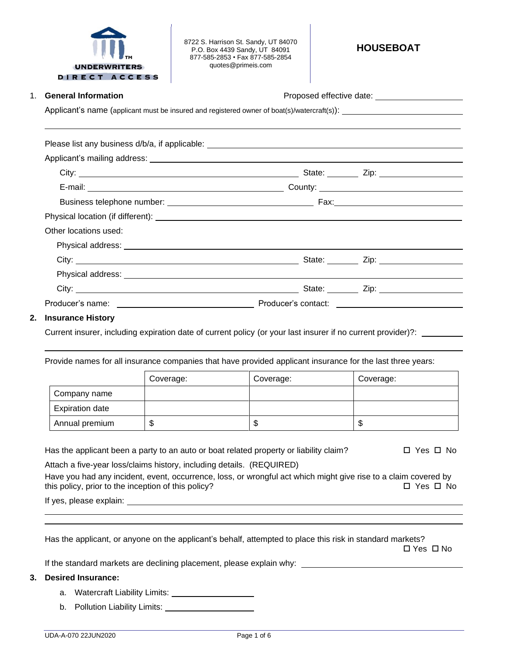

8722 S. Harrison St. Sandy, UT 84070 P.O. Box 4439 Sandy, UT 84091 877-585-2853 • Fax 877-585-2854 quotes@primeis.com

1. **General Information Contract Contract Contract Contract Proposed effective date:** 

Applicant's name (applicant must be insured and registered owner of boat(s)/watercraft(s)): \_\_\_\_\_\_\_\_\_\_\_\_\_

| Other locations used:                                                                                                                                                                                                                |  |
|--------------------------------------------------------------------------------------------------------------------------------------------------------------------------------------------------------------------------------------|--|
|                                                                                                                                                                                                                                      |  |
|                                                                                                                                                                                                                                      |  |
|                                                                                                                                                                                                                                      |  |
|                                                                                                                                                                                                                                      |  |
| Producer's name: <u>example and the set of the set of the set of the set of the set of the set of the set of the set of the set of the set of the set of the set of the set of the set of the set of the set of the set of the s</u> |  |

## **2. Insurance History**

Current insurer, including expiration date of current policy (or your last insurer if no current provider)?:

Provide names for all insurance companies that have provided applicant insurance for the last three years:

|                        | Coverage: | Coverage: | Coverage: |
|------------------------|-----------|-----------|-----------|
| Company name           |           |           |           |
| <b>Expiration date</b> |           |           |           |
| Annual premium         | ۰IJ       | ۰D        | ѡ         |

Has the applicant been a party to an auto or boat related property or liability claim?  $\square$  Yes  $\square$  No

Attach a five-year loss/claims history, including details. (REQUIRED) Have you had any incident, event, occurrence, loss, or wrongful act which might give rise to a claim covered by this policy, prior to the inception of this policy?  $\Box$  Yes  $\Box$  No

If yes, please explain:

Has the applicant, or anyone on the applicant's behalf, attempted to place this risk in standard markets?

 $\Box$  Yes  $\Box$  No

If the standard markets are declining placement, please explain why:

## **3. Desired Insurance:**

- a. Watercraft Liability Limits:
- b. Pollution Liability Limits: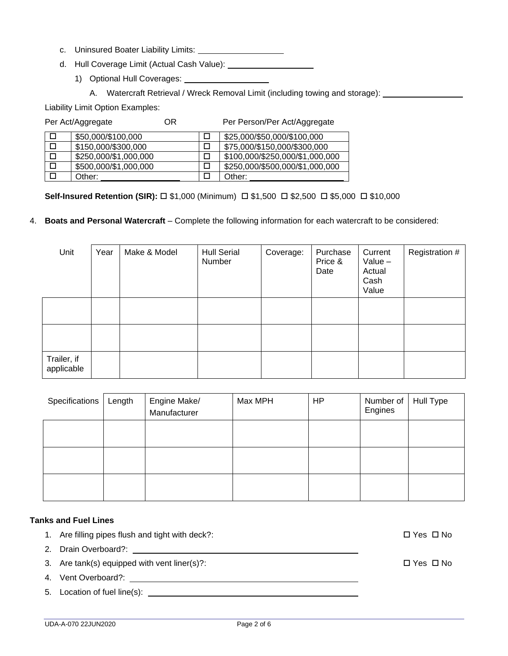- c. Uninsured Boater Liability Limits:
- d. Hull Coverage Limit (Actual Cash Value):
	- 1) Optional Hull Coverages:
		- A. Watercraft Retrieval / Wreck Removal Limit (including towing and storage):

Liability Limit Option Examples:

|   | Per Act/Aggregate     | ΟR | Per Person/Per Act/Aggregate    |
|---|-----------------------|----|---------------------------------|
|   | \$50,000/\$100,000    |    | \$25,000/\$50,000/\$100,000     |
| □ | \$150,000/\$300,000   |    | \$75,000/\$150,000/\$300,000    |
| □ | \$250,000/\$1,000,000 |    | \$100,000/\$250,000/\$1,000,000 |
|   | \$500,000/\$1,000,000 |    | \$250,000/\$500,000/\$1,000,000 |
|   | Other:                |    | Other:                          |

**Self-Insured Retention (SIR):** □ \$1,000 (Minimum) □ \$1,500 □ \$2,500 □ \$5,000 □ \$10,000

## 4. **Boats and Personal Watercraft** – Complete the following information for each watercraft to be considered:

| Unit                      | Year | Make & Model | <b>Hull Serial</b><br>Number | Coverage: | Purchase<br>Price &<br>Date | Current<br>Value $-$<br>Actual<br>Cash<br>Value | Registration # |
|---------------------------|------|--------------|------------------------------|-----------|-----------------------------|-------------------------------------------------|----------------|
|                           |      |              |                              |           |                             |                                                 |                |
|                           |      |              |                              |           |                             |                                                 |                |
| Trailer, if<br>applicable |      |              |                              |           |                             |                                                 |                |

| Specifications | Length | Engine Make/<br>Manufacturer | Max MPH | <b>HP</b> | Number of<br>Engines | Hull Type |
|----------------|--------|------------------------------|---------|-----------|----------------------|-----------|
|                |        |                              |         |           |                      |           |
|                |        |                              |         |           |                      |           |
|                |        |                              |         |           |                      |           |

## **Tanks and Fuel Lines**

- 1. Are filling pipes flush and tight with deck?:  $\square$  Yes  $\square$  No
- 2. Drain Overboard?:
- 3. Are tank(s) equipped with vent liner(s)?:  $\square$  Yes  $\square$  No
- 4. Vent Overboard?:
- 5. Location of fuel line(s):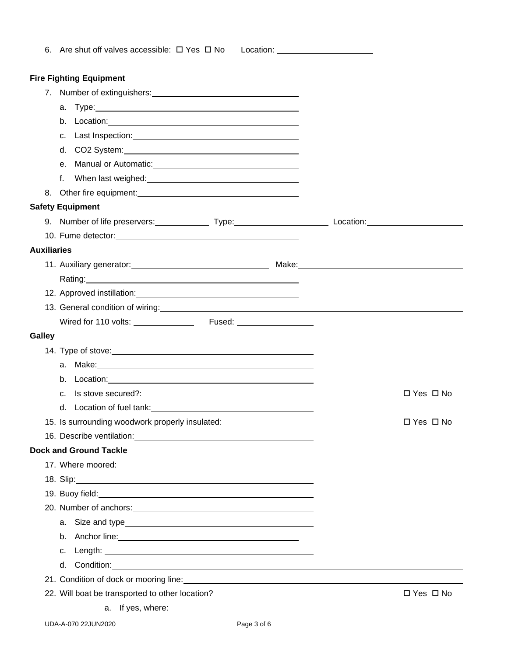| 6. Are shut off valves accessible: $\Box$ Yes $\Box$ No                                                                                                                                                                              | Location: ________________________ |
|--------------------------------------------------------------------------------------------------------------------------------------------------------------------------------------------------------------------------------------|------------------------------------|
| <b>Fire Fighting Equipment</b>                                                                                                                                                                                                       |                                    |
|                                                                                                                                                                                                                                      |                                    |
| а. Туре: 1998. 1999. 1999. 1999. 1999. 1999. 1999. 1999. 1999. 1999. 1999. 1999. 1999. 1999. 1999. 1999. 1999. 1999. 1999. 1999. 1999. 1999. 1999. 1999. 1999. 1999. 1999. 1999. 1999. 1999. 1999. 1999. 1999. 1999. 1999. 199       |                                    |
|                                                                                                                                                                                                                                      |                                    |
| C.                                                                                                                                                                                                                                   |                                    |
|                                                                                                                                                                                                                                      |                                    |
|                                                                                                                                                                                                                                      |                                    |
| e. Manual or Automatic: Manual Assemblue Contract Contract Contract Contract Contract Contract Contract Contract Contract Contract Contract Contract Contract Contract Contract Contract Contract Contract Contract Contract C       |                                    |
| f.<br>When last weighed: Management and the contract of the contract of the contract of the contract of the contract of the contract of the contract of the contract of the contract of the contract of the contract of the contract |                                    |
| 8. Other fire equipment: 0.000 minutes and 0.000 minutes and 0.000 minutes and 0.000 minutes are all the same of the state of the state of the state of the state of the state of the state of the state of the state of the s       |                                    |
| <b>Safety Equipment</b>                                                                                                                                                                                                              |                                    |
| 9. Number of life preservers: Type: Type: Location: Location:                                                                                                                                                                        |                                    |
|                                                                                                                                                                                                                                      |                                    |
| <b>Auxiliaries</b>                                                                                                                                                                                                                   |                                    |
|                                                                                                                                                                                                                                      |                                    |
|                                                                                                                                                                                                                                      |                                    |
| 12. Approved instillation: Note that the set of the set of the set of the set of the set of the set of the set of the set of the set of the set of the set of the set of the set of the set of the set of the set of the set o       |                                    |
| 13. General condition of wiring:<br><u> and the condition of wiring:</u>                                                                                                                                                             |                                    |
|                                                                                                                                                                                                                                      |                                    |
| <b>Galley</b>                                                                                                                                                                                                                        |                                    |
| 14. Type of stove: <u>contract the contract of the contract of the contract of the contract of the contract of</u>                                                                                                                   |                                    |
| Make: Note: Note: Note: Note: Note: Note: Note: Note: Note: Note: Note: Note: Note: Note: Note: Note: Note: No<br>a.                                                                                                                 |                                    |
| b. Location: www.communication.com/                                                                                                                                                                                                  |                                    |
| c. Is stove secured?:                                                                                                                                                                                                                | $\Box$ Yes $\Box$ No               |
|                                                                                                                                                                                                                                      |                                    |
| 15. Is surrounding woodwork properly insulated:                                                                                                                                                                                      | $\Box$ Yes $\Box$ No               |
|                                                                                                                                                                                                                                      |                                    |
| <b>Dock and Ground Tackle</b>                                                                                                                                                                                                        |                                    |
|                                                                                                                                                                                                                                      |                                    |
|                                                                                                                                                                                                                                      |                                    |
| 19. Buoy field: <u>contract and a series of the series of the series of the series of the series of the series of the series of the series of the series of the series of the series of the series of the series of the series o</u> |                                    |
| 20. Number of anchors: 100 million and 20. Number of anchors:                                                                                                                                                                        |                                    |
|                                                                                                                                                                                                                                      |                                    |
|                                                                                                                                                                                                                                      |                                    |
| c.                                                                                                                                                                                                                                   |                                    |
|                                                                                                                                                                                                                                      |                                    |
|                                                                                                                                                                                                                                      |                                    |
| 22. Will boat be transported to other location?                                                                                                                                                                                      | $\Box$ Yes $\Box$ No               |
|                                                                                                                                                                                                                                      |                                    |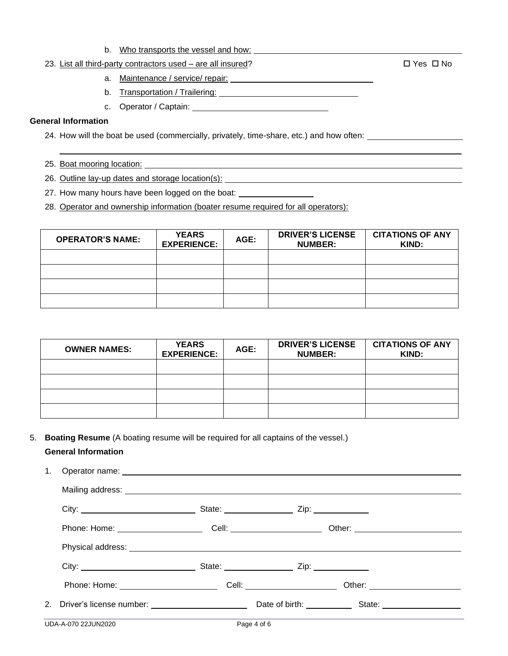b. Who transports the vessel and how:

## 23. List all third-party contractors used – are all insured?  $\square$  Yes  $\square$  No

- a. Maintenance / service/ repair:
- b. Transportation / Trailering: University of the University of the University of the University of the University of the University of the University of the University of the University of the University of the University
- c. Operator / Captain:

## **General Information**

24. How will the boat be used (commercially, privately, time-share, etc.) and how often:

- 25. Boat mooring location: **contained a set of the set of the set of the set of the set of the set of the set of the set of the set of the set of the set of the set of the set of the set of the set of the set of the set of**
- 26. Outline lay-up dates and storage location(s):
- 27. How many hours have been logged on the boat: \_\_\_\_\_\_\_\_\_\_\_\_\_\_\_\_\_\_\_\_\_\_\_\_\_\_\_\_\_\_\_

28. Operator and ownership information (boater resume required for all operators):

| <b>OPERATOR'S NAME:</b> | <b>YEARS</b><br><b>EXPERIENCE:</b> | AGE: | <b>DRIVER'S LICENSE</b><br><b>NUMBER:</b> | <b>CITATIONS OF ANY</b><br>KIND: |
|-------------------------|------------------------------------|------|-------------------------------------------|----------------------------------|
|                         |                                    |      |                                           |                                  |
|                         |                                    |      |                                           |                                  |
|                         |                                    |      |                                           |                                  |
|                         |                                    |      |                                           |                                  |

| <b>OWNER NAMES:</b> | <b>YEARS</b><br><b>EXPERIENCE:</b> | AGE: | <b>DRIVER'S LICENSE</b><br><b>NUMBER:</b> | <b>CITATIONS OF ANY</b><br>KIND: |
|---------------------|------------------------------------|------|-------------------------------------------|----------------------------------|
|                     |                                    |      |                                           |                                  |
|                     |                                    |      |                                           |                                  |
|                     |                                    |      |                                           |                                  |
|                     |                                    |      |                                           |                                  |

5. **Boating Resume** (A boating resume will be required for all captains of the vessel.)

# **General Information**

| 1. |                     |             |                                                                                                                |  |
|----|---------------------|-------------|----------------------------------------------------------------------------------------------------------------|--|
|    |                     |             |                                                                                                                |  |
|    |                     |             |                                                                                                                |  |
|    |                     |             |                                                                                                                |  |
|    |                     |             |                                                                                                                |  |
|    |                     |             |                                                                                                                |  |
|    |                     |             | Phone: Home: __________________________________Cell: ____________________________ Other: _____________________ |  |
|    |                     |             |                                                                                                                |  |
|    | UDA-A-070 22JUN2020 | Page 4 of 6 |                                                                                                                |  |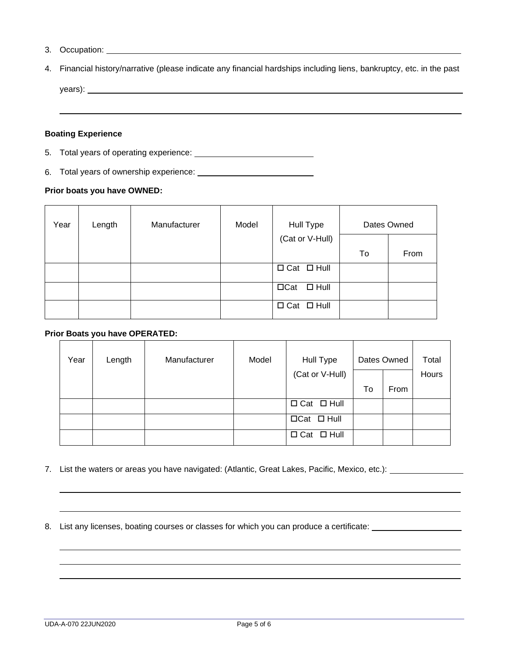- 3. Occupation:
- 4. Financial history/narrative (please indicate any financial hardships including liens, bankruptcy, etc. in the past

years): **with the contract of the contract of the contract of the contract of the contract of the contract of the contract of the contract of the contract of the contract of the contract of the contract of the contract of** 

## **Boating Experience**

- 5. Total years of operating experience:
- 6. Total years of ownership experience:

## **Prior boats you have OWNED:**

| Year | Length | Manufacturer | Model | Hull Type              |    | Dates Owned |
|------|--------|--------------|-------|------------------------|----|-------------|
|      |        |              |       | (Cat or V-Hull)        |    |             |
|      |        |              |       |                        | To | From        |
|      |        |              |       | $\Box$ Cat $\Box$ Hull |    |             |
|      |        |              |       | $\Box$ Cat $\Box$ Hull |    |             |
|      |        |              |       | $\Box$ Cat $\Box$ Hull |    |             |

## **Prior Boats you have OPERATED:**

| Year | Length | Manufacturer | Model | Hull Type              |    | Dates Owned | Total |
|------|--------|--------------|-------|------------------------|----|-------------|-------|
|      |        |              |       | (Cat or V-Hull)        |    |             | Hours |
|      |        |              |       |                        | To | From        |       |
|      |        |              |       | $\Box$ Cat $\Box$ Hull |    |             |       |
|      |        |              |       | $\Box$ Cat $\Box$ Hull |    |             |       |
|      |        |              |       | $\Box$ Cat $\Box$ Hull |    |             |       |

7. List the waters or areas you have navigated: (Atlantic, Great Lakes, Pacific, Mexico, etc.): \_\_\_\_\_\_\_\_

8. List any licenses, boating courses or classes for which you can produce a certificate: \_\_\_\_\_\_\_\_\_\_\_\_\_\_\_\_\_\_\_\_